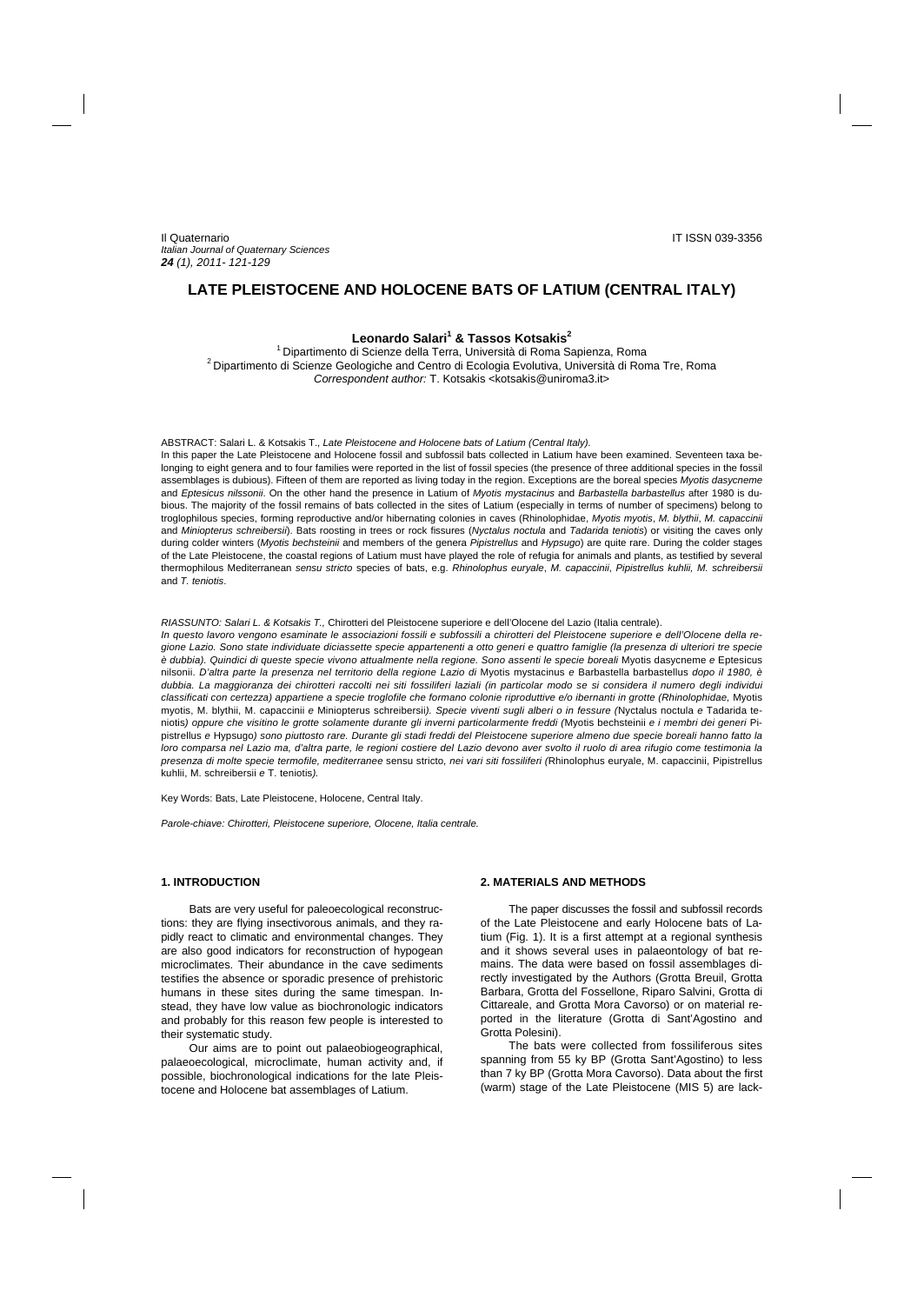# **LATE PLEISTOCENE AND HOLOCENE BATS OF LATIUM (CENTRAL ITALY)**

# **Leonardo Salari1 & Tassos Kotsakis<sup>2</sup>**

1 Dipartimento di Scienze della Terra, Università di Roma Sapienza, Roma 2 Dipartimento di Scienze Geologiche and Centro di Ecologia Evolutiva, Università di Roma Tre, Roma Correspondent author: T. Kotsakis <kotsakis@uniroma3.it>

### ABSTRACT: Salari L. & Kotsakis T., *Late Pleistocene and Holocene bats of Latium (Central Italy).*

In this paper the Late Pleistocene and Holocene fossil and subfossil bats collected in Latium have been examined. Seventeen taxa belonging to eight genera and to four families were reported in the list of fossil species (the presence of three additional species in the fossil assemblages is dubious). Fifteen of them are reported as living today in the region. Exceptions are the boreal species *Myotis dasycneme* and *Eptesicus nilssonii*. On the other hand the presence in Latium of *Myotis mystacinus* and *Barbastella barbastellus* after 1980 is dubious. The majority of the fossil remains of bats collected in the sites of Latium (especially in terms of number of specimens) belong to troglophilous species, forming reproductive and/or hibernating colonies in caves (Rhinolophidae, *Myotis myotis*, *M. blythii*, *M. capaccinii*  and *Miniopterus schreibersii*). Bats roosting in trees or rock fissures (*Nyctalus noctula* and *Tadarida teniotis*) or visiting the caves only during colder winters (*Myotis bechsteinii* and members of the genera *Pipistrellus* and *Hypsugo*) are quite rare. During the colder stages of the Late Pleistocene, the coastal regions of Latium must have played the role of refugia for animals and plants, as testified by several thermophilous Mediterranean *sensu stricto* species of bats, e.g. *Rhinolophus euryale*, *M. capaccinii*, *Pipistrellus kuhlii, M. schreibersii*  and *T. teniotis*.

#### *RIASSUNTO: Salari L. & Kotsakis T.,* Chirotteri del Pleistocene superiore e dell'Olocene del Lazio (Italia centrale).

*In questo lavoro vengono esaminate le associazioni fossili e subfossili a chirotteri del Pleistocene superiore e dell'Olocene della regione Lazio. Sono state individuate diciassette specie appartenenti a otto generi e quattro famiglie (la presenza di ulteriori tre specie è dubbia). Quindici di queste specie vivono attualmente nella regione. Sono assenti le specie boreali* Myotis dasycneme *e* Eptesicus nilsonii. *D'altra parte la presenza nel territorio della regione Lazio di* Myotis mystacinus *e* Barbastella barbastellus *dopo il 1980, è dubbia. La maggioranza dei chirotteri raccolti nei siti fossiliferi laziali (in particolar modo se si considera il numero degli individui classificati con certezza) appartiene a specie troglofile che formano colonie riproduttive e/o ibernanti in grotte (Rhinolophidae,* Myotis myotis, M. blythii, M. capaccinii *e* Miniopterus schreibersii*). Specie viventi sugli alberi o in fessure (*Nyctalus noctula *e* Tadarida teniotis*) oppure che visitino le grotte solamente durante gli inverni particolarmente freddi (*Myotis bechsteinii *e i membri dei generi* Pipistrellus *e* Hypsugo*) sono piuttosto rare. Durante gli stadi freddi del Pleistocene superiore almeno due specie boreali hanno fatto la*  loro comparsa nel Lazio ma, d'altra parte, le regioni costiere del Lazio devono aver svolto il ruolo di area rifugio come testimonia la *presenza di molte specie termofile, mediterranee* sensu stricto*, nei vari siti fossiliferi (*Rhinolophus euryale, M. capaccinii, Pipistrellus kuhlii, M. schreibersii *e* T. teniotis*).*

Key Words: Bats, Late Pleistocene, Holocene, Central Italy.

*Parole-chiave: Chirotteri, Pleistocene superiore, Olocene, Italia centrale.* 

# **1. INTRODUCTION**

Bats are very useful for paleoecological reconstructions: they are flying insectivorous animals, and they rapidly react to climatic and environmental changes. They are also good indicators for reconstruction of hypogean microclimates. Their abundance in the cave sediments testifies the absence or sporadic presence of prehistoric humans in these sites during the same timespan. Instead, they have low value as biochronologic indicators and probably for this reason few people is interested to their systematic study.

Our aims are to point out palaeobiogeographical, palaeoecological, microclimate, human activity and, if possible, biochronological indications for the late Pleistocene and Holocene bat assemblages of Latium.

# **2. MATERIALS AND METHODS**

The paper discusses the fossil and subfossil records of the Late Pleistocene and early Holocene bats of Latium (Fig. 1). It is a first attempt at a regional synthesis and it shows several uses in palaeontology of bat remains. The data were based on fossil assemblages directly investigated by the Authors (Grotta Breuil, Grotta Barbara, Grotta del Fossellone, Riparo Salvini, Grotta di Cittareale, and Grotta Mora Cavorso) or on material reported in the literature (Grotta di Sant'Agostino and Grotta Polesini).

The bats were collected from fossiliferous sites spanning from 55 ky BP (Grotta Sant'Agostino) to less than 7 ky BP (Grotta Mora Cavorso). Data about the first (warm) stage of the Late Pleistocene (MIS 5) are lack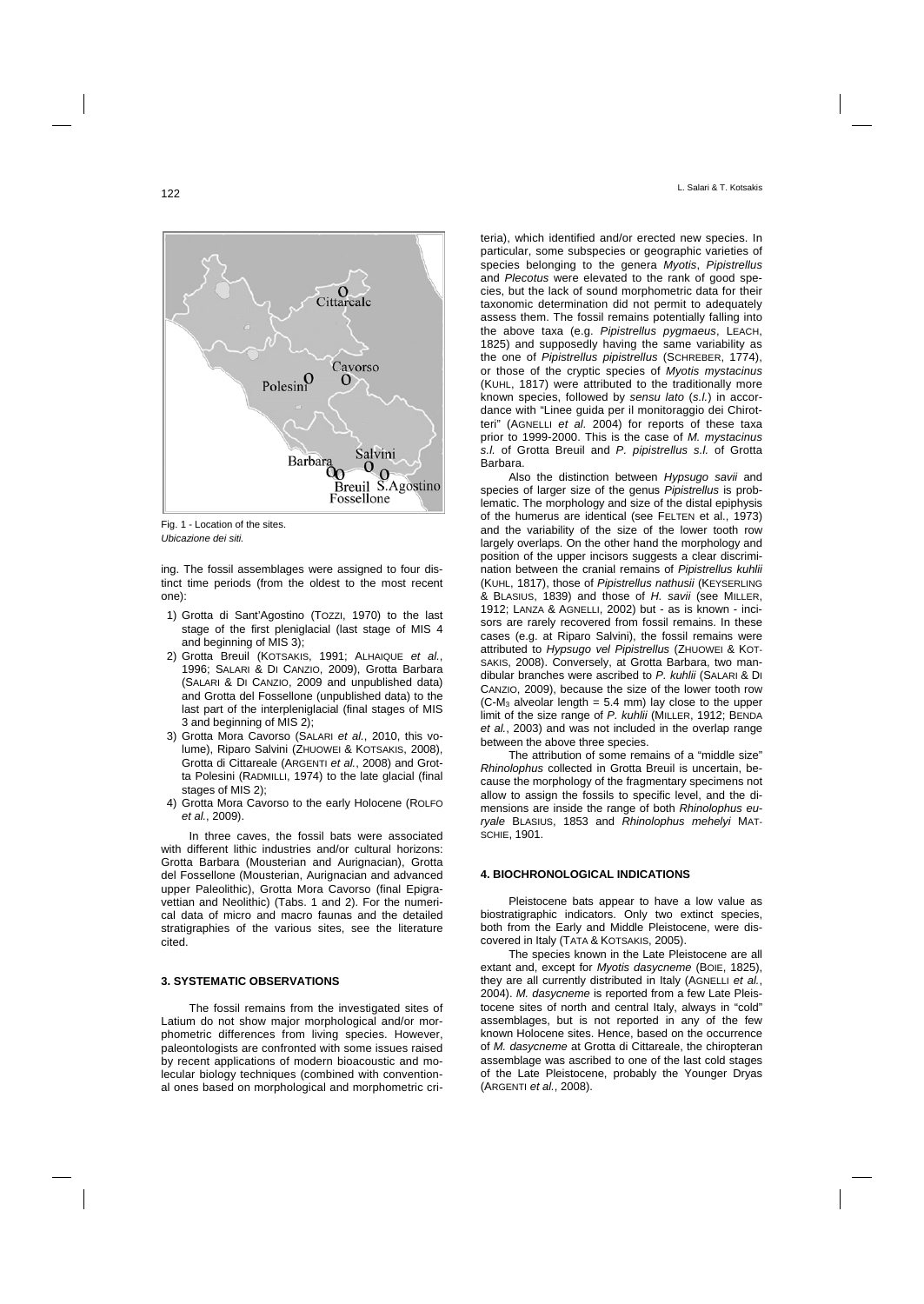Fig. 1 - Location of the sites. *Ubicazione dei siti.* 

ing. The fossil assemblages were assigned to four distinct time periods (from the oldest to the most recent one):

- 1) Grotta di Sant'Agostino (TOZZI, 1970) to the last stage of the first pleniglacial (last stage of MIS 4 and beginning of MIS 3);
- 2) Grotta Breuil (KOTSAKIS, 1991; ALHAIQUE *et al.*, 1996; SALARI & DI CANZIO, 2009), Grotta Barbara (SALARI & DI CANZIO, 2009 and unpublished data) and Grotta del Fossellone (unpublished data) to the last part of the interpleniglacial (final stages of MIS 3 and beginning of MIS 2);
- 3) Grotta Mora Cavorso (SALARI *et al.*, 2010, this volume), Riparo Salvini (ZHUOWEI & KOTSAKIS, 2008), Grotta di Cittareale (ARGENTI *et al.*, 2008) and Grotta Polesini (RADMILLI, 1974) to the late glacial (final stages of MIS 2);
- 4) Grotta Mora Cavorso to the early Holocene (ROLFO *et al.*, 2009).

In three caves, the fossil bats were associated with different lithic industries and/or cultural horizons: Grotta Barbara (Mousterian and Aurignacian), Grotta del Fossellone (Mousterian, Aurignacian and advanced upper Paleolithic), Grotta Mora Cavorso (final Epigravettian and Neolithic) (Tabs. 1 and 2). For the numerical data of micro and macro faunas and the detailed stratigraphies of the various sites, see the literature cited.

### **3. SYSTEMATIC OBSERVATIONS**

The fossil remains from the investigated sites of Latium do not show major morphological and/or morphometric differences from living species. However, paleontologists are confronted with some issues raised by recent applications of modern bioacoustic and molecular biology techniques (combined with conventional ones based on morphological and morphometric cri-

teria), which identified and/or erected new species. In particular, some subspecies or geographic varieties of species belonging to the genera *Myotis*, *Pipistrellus* and *Plecotus* were elevated to the rank of good species, but the lack of sound morphometric data for their taxonomic determination did not permit to adequately assess them. The fossil remains potentially falling into the above taxa (e.g. *Pipistrellus pygmaeus*, LEACH, 1825) and supposedly having the same variability as the one of *Pipistrellus pipistrellus* (SCHREBER, 1774), or those of the cryptic species of *Myotis mystacinus*  (KUHL, 1817) were attributed to the traditionally more known species, followed by *sensu lato* (*s.l.*) in accordance with "Linee guida per il monitoraggio dei Chirotteri" (AGNELLI *et al.* 2004) for reports of these taxa prior to 1999-2000. This is the case of *M. mystacinus s.l.* of Grotta Breuil and *P. pipistrellus s.l.* of Grotta Barbara.

Also the distinction between *Hypsugo savii* and species of larger size of the genus *Pipistrellus* is problematic. The morphology and size of the distal epiphysis of the humerus are identical (see FELTEN et al., 1973) and the variability of the size of the lower tooth row largely overlaps. On the other hand the morphology and position of the upper incisors suggests a clear discrimination between the cranial remains of *Pipistrellus kuhlii* (KUHL, 1817), those of *Pipistrellus nathusii* (KEYSERLING & BLASIUS, 1839) and those of *H. savii* (see MILLER, 1912; LANZA & AGNELLI, 2002) but - as is known - incisors are rarely recovered from fossil remains. In these cases (e.g. at Riparo Salvini), the fossil remains were attributed to *Hypsugo vel Pipistrellus* (ZHUOWEI & KOT-SAKIS, 2008). Conversely, at Grotta Barbara, two mandibular branches were ascribed to *P. kuhlii* (SALARI & DI CANZIO, 2009), because the size of the lower tooth row  $(C-M_3$  alveolar length = 5.4 mm) lay close to the upper limit of the size range of *P. kuhlii* (MILLER, 1912; BENDA *et al.*, 2003) and was not included in the overlap range between the above three species.

The attribution of some remains of a "middle size" *Rhinolophus* collected in Grotta Breuil is uncertain, because the morphology of the fragmentary specimens not allow to assign the fossils to specific level, and the dimensions are inside the range of both *Rhinolophus euryale* BLASIUS, 1853 and *Rhinolophus mehelyi* MAT-SCHIE, 1901.

# **4. BIOCHRONOLOGICAL INDICATIONS**

Pleistocene bats appear to have a low value as biostratigraphic indicators. Only two extinct species, both from the Early and Middle Pleistocene, were discovered in Italy (TATA & KOTSAKIS, 2005).

The species known in the Late Pleistocene are all extant and, except for *Myotis dasycneme* (BOIE, 1825), they are all currently distributed in Italy (AGNELLI *et al.*, 2004). *M. dasycneme* is reported from a few Late Pleistocene sites of north and central Italy, always in "cold" assemblages, but is not reported in any of the few known Holocene sites. Hence, based on the occurrence of *M. dasycneme* at Grotta di Cittareale, the chiropteran assemblage was ascribed to one of the last cold stages of the Late Pleistocene, probably the Younger Dryas (ARGENTI *et al.*, 2008).

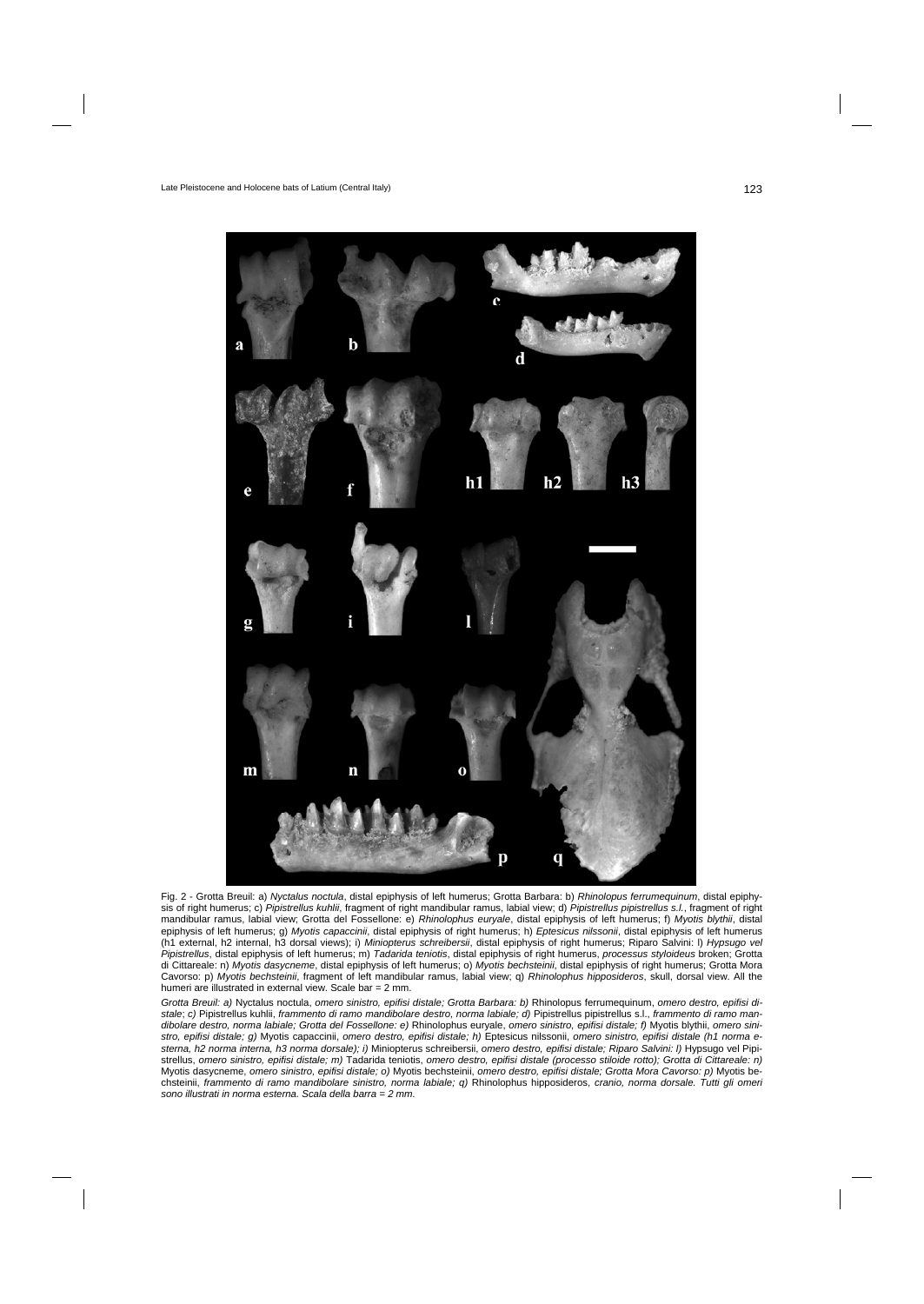

Fig. 2 - Grotta Breuil: a) *Nyctalus noctula*, distal epiphysis of left humerus; Grotta Barbara: b) *Rhinolopus ferrumequinum*, distal epiphysis of right humerus; c) *Pipistrellus kuhlii*, fragment of right mandibular ramus, labial view; d) *Pipistrellus pipistrellus s.l.*, fragment of right mandibular ramus, labial view; Grotta del Fossellone: e) *Rhinolophus euryale*, distal epiphysis of left humerus; f) *Myotis blythii*, distal epiphysis of left humerus; g) *Myotis capaccinii*, distal epiphysis of right humerus; h) *Eptesicus nilssonii*, distal epiphysis of left humerus (h1 external, h2 internal, h3 dorsal views); i) *Miniopterus schreibersii*, distal epiphysis of right humerus; Riparo Salvini: l) *Hypsugo vel Pipistrellus*, distal epiphysis of left humerus; m) *Tadarida teniotis*, distal epiphysis of right humerus, *processus styloideus* broken; Grotta di Cittareale: n) *Myotis dasycneme*, distal epiphysis of left humerus; o) *Myotis bechsteinii*, distal epiphysis of right humerus; Grotta Mora Cavorso: p) *Myotis bechsteinii*, fragment of left mandibular ramus, labial view; q) *Rhinolophus hipposideros*, skull, dorsal view. All the humeri are illustrated in external view. Scale bar = 2 mm.

*Grotta Breuil: a)* Nyctalus noctula, *omero sinistro, epifisi distale; Grotta Barbara: b)* Rhinolopus ferrumequinum, *omero destro, epifisi distale*; *c)* Pipistrellus kuhlii, *frammento di ramo mandibolare destro, norma labiale; d)* Pipistrellus pipistrellus s.l., *frammento di ramo mandibolare destro, norma labiale; Grotta del Fossellone: e)* Rhinolophus euryale, *omero sinistro, epifisi distale; f)* Myotis blythii, *omero sinistro, epifisi distale; g)* Myotis capaccinii, *omero destro, epifisi distale; h)* Eptesicus nilssonii, *omero sinistro, epifisi distale (h1 norma esterna, h2 norma interna, h3 norma dorsale); i)* Miniopterus schreibersii, *omero destro, epifisi distale; Riparo Salvini: l)* Hypsugo vel Pipistrellus, *omero sinistro, epifisi distale; m)* Tadarida teniotis, *omero destro, epifisi distale (processo stiloide rotto); Grotta di Cittareale: n)* Myotis dasycneme, *omero sinistro, epifisi distale; o)* Myotis bechsteinii, *omero destro, epifisi distale; Grotta Mora Cavorso: p)* Myotis bechsteinii, *frammento di ramo mandibolare sinistro, norma labiale; q)* Rhinolophus hipposideros, *cranio, norma dorsale. Tutti gli omeri sono illustrati in norma esterna. Scala della barra = 2 mm.*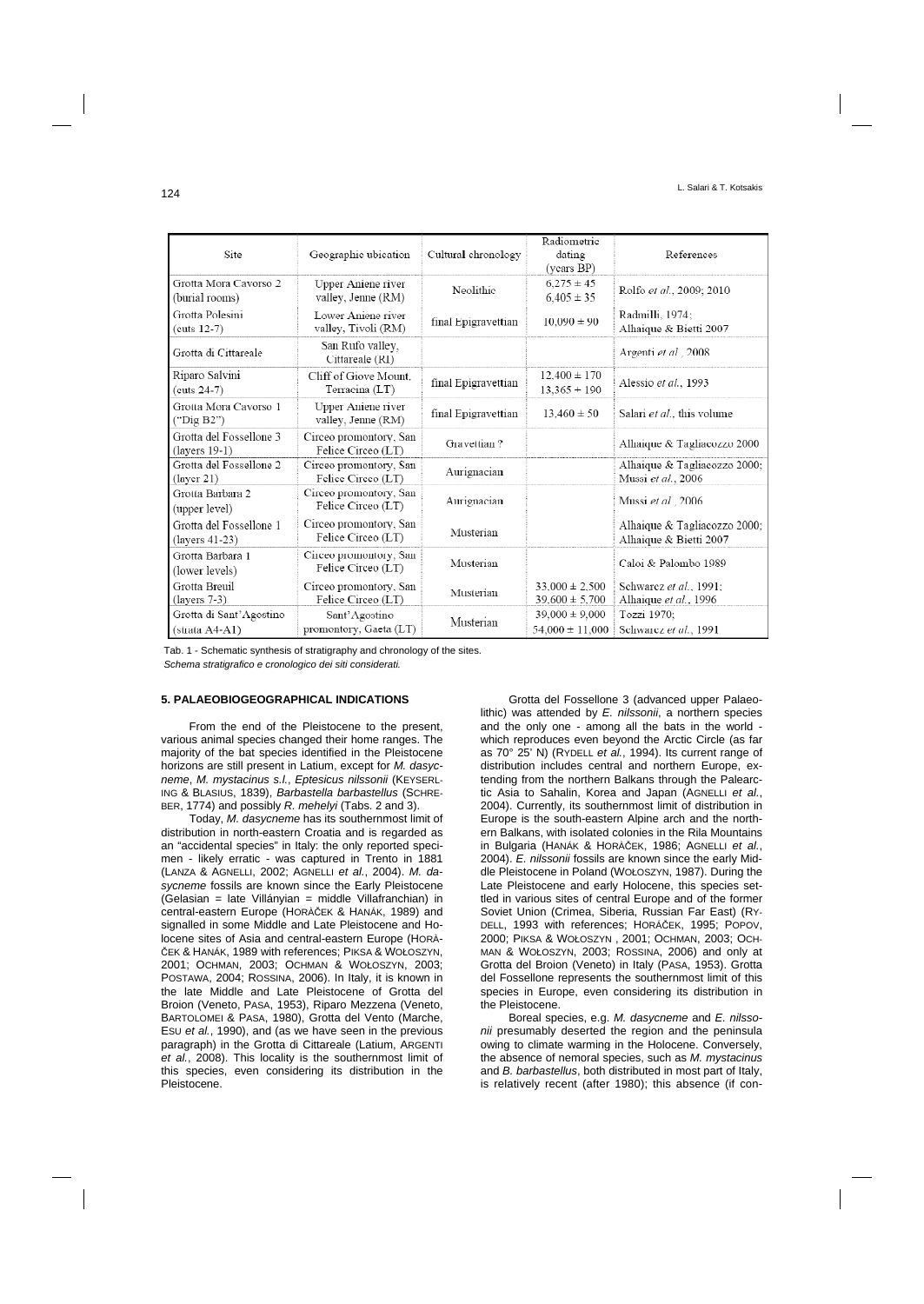| Site                                            | Geographic ubication                         | Cultural chronology | Radiometric<br>dating<br>(years BP)       | References                                             |  |
|-------------------------------------------------|----------------------------------------------|---------------------|-------------------------------------------|--------------------------------------------------------|--|
| Grotta Mora Cavorso 2<br>(burial rooms)         | Upper Aniene river<br>valley, Jenne (RM)     | Neolithic           | $6,275 \pm 45$<br>$6.405 \pm 35$          | Rolfo et al., 2009; 2010                               |  |
| Grotta Polesini<br>$(cuts 12-7)$                | Lower Aniene river<br>valley, Tivoli (RM)    | final Epigravettian | $10,090 \pm 90$                           | Radmilli, 1974;<br>Alhaique & Bietti 2007              |  |
| Grotta di Cittareale                            | San Rufo valley,<br>Cittareale (RI)          |                     |                                           | Argenti et al., 2008                                   |  |
| Riparo Salvini<br>$(cuts 24-7)$                 | Cliff of Giove Mount.<br>Terracina (LT)      | final Epigravettian | $12,400 \pm 170$<br>$13,365 + 190$        | Alessio et al., 1993                                   |  |
| Grotta Mora Cavorso 1<br>("Dig B2")             | Upper Aniene river<br>valley, Jenne (RM)     | final Epigravettian | $13,460 \pm 50$                           | Salari et al., this volume                             |  |
| Grotta del Fossellone 3<br>$(layers 19-1)$      | Circeo promontory, San<br>Felice Circeo (LT) | Gravettian?         |                                           | Alhaique & Tagliacozzo 2000                            |  |
| Grotta del Fossellone 2<br>$(\text{layer } 21)$ | Circeo promontory, San<br>Felice Circeo (LT) | Aurignacian         |                                           | Alhaique & Tagliacozzo 2000;<br>Mussi et al., 2006     |  |
| Grotta Barbara 2<br>(upper level)               | Circeo promontory, San<br>Felice Circeo (LT) | Aurignacian         |                                           | Mussi et al., 2006                                     |  |
| Grotta del Fossellone 1<br>$(layers 41-23)$     | Circeo promontory, San<br>Felice Circeo (LT) | Musterian           |                                           | Alhaique & Tagliacozzo 2000;<br>Alhaique & Bietti 2007 |  |
| Grotta Barbara 1<br>(lower levels)              | Circeo promontory, San<br>Felice Circeo (LT) | Musterian           |                                           | Caloi & Palombo 1989                                   |  |
| Grotta Breuil<br>$(layers 7-3)$                 | Circeo promontory, San<br>Felice Circeo (LT) | Musterian           | $33,000 \pm 2,500$<br>$39,600 \pm 5,700$  | Schwarcz et al., 1991;<br>Alhaique et al., 1996        |  |
| Grotta di Sant'Agostino<br>(strata A4-A1)       | Sant'Agostino<br>promontory, Gaeta (LT)      | Musterian           | $39,000 \pm 9,000$<br>$54,000 \pm 11,000$ | Tozzi 1970;<br>Schwarcz et al., 1991                   |  |

 Tab. 1 - Schematic synthesis of stratigraphy and chronology of the sites.  *Schema stratigrafico e cronologico dei siti considerati.* 

#### **5. PALAEOBIOGEOGRAPHICAL INDICATIONS**

From the end of the Pleistocene to the present, various animal species changed their home ranges. The majority of the bat species identified in the Pleistocene horizons are still present in Latium, except for *M. dasycneme*, *M. mystacinus s.l.*, *Eptesicus nilssonii* (KEYSERL-ING & BLASIUS, 1839), *Barbastella barbastellus* (SCHRE-BER, 1774) and possibly *R. mehelyi* (Tabs. 2 and 3).

Today, *M. dasycneme* has its southernmost limit of distribution in north-eastern Croatia and is regarded as an "accidental species" in Italy: the only reported specimen - likely erratic - was captured in Trento in 1881 (LANZA & AGNELLI, 2002; AGNELLI *et al.*, 2004). *M. dasycneme* fossils are known since the Early Pleistocene (Gelasian = late Villányian = middle Villafranchian) in central-eastern Europe (HORÀČEK & HANÁK, 1989) and signalled in some Middle and Late Pleistocene and Holocene sites of Asia and central-eastern Europe (HORÀ-ČEK & HANÁK, 1989 with references; PIKSA & WOŁOSZYN, 2001; OCHMAN, 2003; OCHMAN & WOŁOSZYN, 2003; POSTAWA, 2004; ROSSINA, 2006). In Italy, it is known in the late Middle and Late Pleistocene of Grotta del Broion (Veneto, PASA, 1953), Riparo Mezzena (Veneto, BARTOLOMEI & PASA, 1980), Grotta del Vento (Marche, ESU *et al.*, 1990), and (as we have seen in the previous paragraph) in the Grotta di Cittareale (Latium, ARGENTI *et al.*, 2008). This locality is the southernmost limit of this species, even considering its distribution in the Pleistocene.

Grotta del Fossellone 3 (advanced upper Palaeolithic) was attended by *E. nilssonii*, a northern species and the only one - among all the bats in the world which reproduces even beyond the Arctic Circle (as far as 70° 25' N) (RYDELL *et al.*, 1994). Its current range of distribution includes central and northern Europe, extending from the northern Balkans through the Palearctic Asia to Sahalin, Korea and Japan (AGNELLI *et al.*, 2004). Currently, its southernmost limit of distribution in Europe is the south-eastern Alpine arch and the northern Balkans, with isolated colonies in the Rila Mountains in Bulgaria (HANÁK & HORÀČEK, 1986; AGNELLI *et al.*, 2004). *E. nilssonii* fossils are known since the early Middle Pleistocene in Poland (WOŁOSZYN, 1987). During the Late Pleistocene and early Holocene, this species settled in various sites of central Europe and of the former Soviet Union (Crimea, Siberia, Russian Far East) (RY-DELL, 1993 with references; HORÁČEK, 1995; POPOV, 2000; PIKSA & WOŁOSZYN , 2001; OCHMAN, 2003; OCH-MAN & WOŁOSZYN, 2003; ROSSINA, 2006) and only at Grotta del Broion (Veneto) in Italy (PASA, 1953). Grotta del Fossellone represents the southernmost limit of this species in Europe, even considering its distribution in the Pleistocene.

Boreal species, e.g. *M. dasycneme* and *E. nilssonii* presumably deserted the region and the peninsula owing to climate warming in the Holocene. Conversely, the absence of nemoral species, such as *M. mystacinus* and *B. barbastellus*, both distributed in most part of Italy, is relatively recent (after 1980); this absence (if con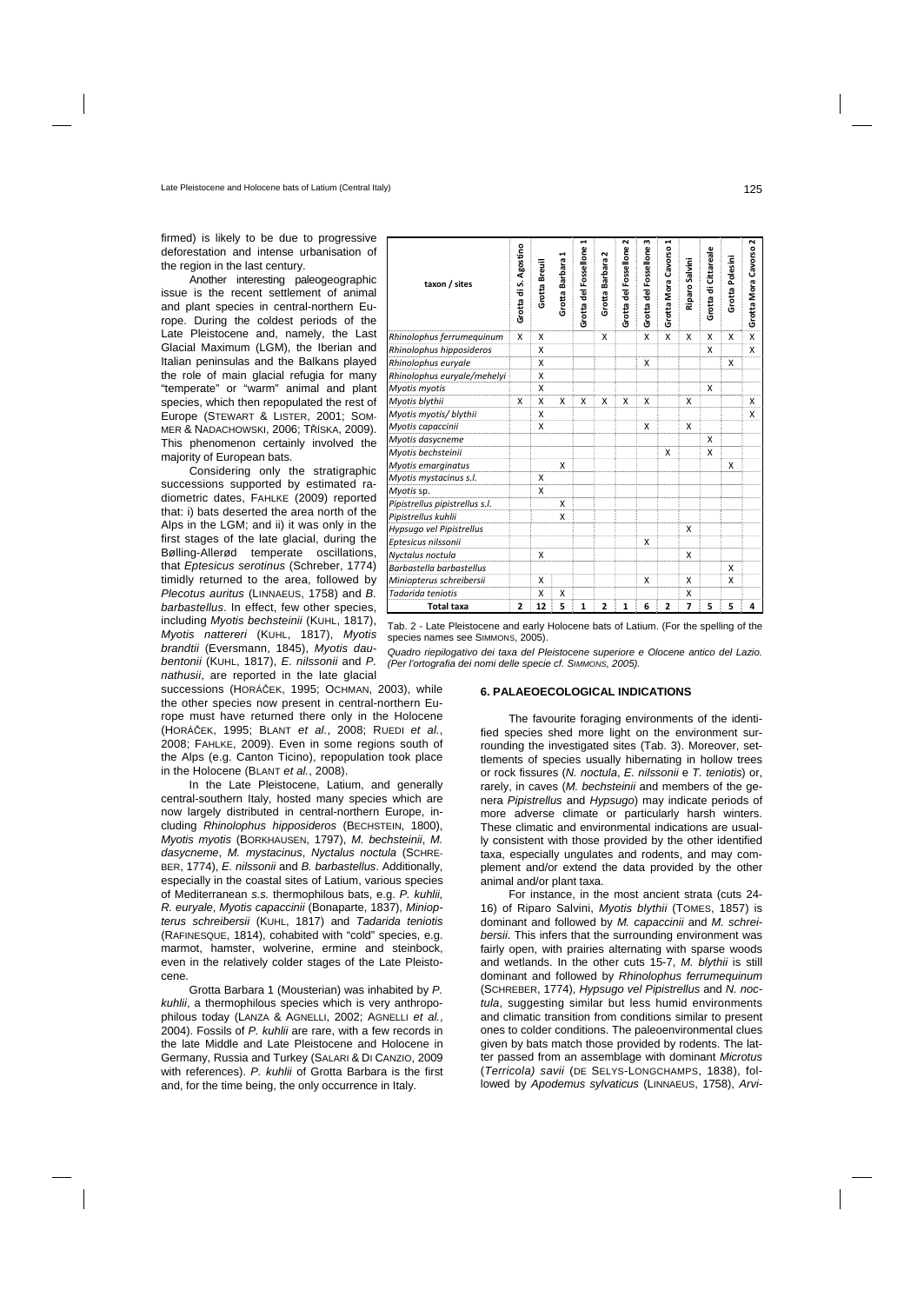firmed) is likely to be due to progressive deforestation and intense urbanisation of the region in the last century.

Another interesting paleogeographic issue is the recent settlement of animal and plant species in central-northern Europe. During the coldest periods of the Late Pleistocene and, namely, the Last Glacial Maximum (LGM), the Iberian and Italian peninsulas and the Balkans played the role of main glacial refugia for many "temperate" or "warm" animal and plant species, which then repopulated the rest of Europe (STEWART & LISTER, 2001; SOM-MER & NADACHOWSKI, 2006; TŘÍSKA, 2009). This phenomenon certainly involved the majority of European bats.

Considering only the stratigraphic successions supported by estimated radiometric dates, FAHLKE (2009) reported that: i) bats deserted the area north of the Alps in the LGM; and ii) it was only in the first stages of the late glacial, during the Bølling-Allerød temperate oscillations, that *Eptesicus serotinus* (Schreber, 1774) timidly returned to the area, followed by *Plecotus auritus* (LINNAEUS, 1758) and *B. barbastellus*. In effect, few other species, including *Myotis bechsteinii* (KUHL, 1817), *Myotis nattereri* (KUHL, 1817), *Myotis brandtii* (Eversmann, 1845), *Myotis daubentonii* (KUHL, 1817), *E. nilssonii* and *P. nathusii*, are reported in the late glacial

successions (HORÁČEK, 1995; OCHMAN, 2003), while the other species now present in central-northern Europe must have returned there only in the Holocene (HORÁČEK, 1995; BLANT *et al.*, 2008; RUEDI *et al.*, 2008; FAHLKE, 2009). Even in some regions south of the Alps (e.g. Canton Ticino), repopulation took place in the Holocene (BLANT *et al.*, 2008).

In the Late Pleistocene, Latium, and generally central-southern Italy, hosted many species which are now largely distributed in central-northern Europe, including *Rhinolophus hipposideros* (BECHSTEIN, 1800), *Myotis myotis* (BORKHAUSEN, 1797), *M. bechsteinii*, *M. dasycneme*, *M. mystacinus*, *Nyctalus noctula* (SCHRE-BER, 1774), *E. nilssonii* and *B. barbastellus*. Additionally, especially in the coastal sites of Latium, various species of Mediterranean *s.s.* thermophilous bats, e.g. *P. kuhlii, R. euryale*, *Myotis capaccinii* (Bonaparte, 1837), *Miniopterus schreibersii* (KUHL, 1817) and *Tadarida teniotis* (RAFINESQUE, 1814), cohabited with "cold" species, e.g. marmot, hamster, wolverine, ermine and steinbock, even in the relatively colder stages of the Late Pleistocene.

Grotta Barbara 1 (Mousterian) was inhabited by *P. kuhlii*, a thermophilous species which is very anthropophilous today (LANZA & AGNELLI, 2002; AGNELLI *et al.*, 2004). Fossils of *P. kuhlii* are rare, with a few records in the late Middle and Late Pleistocene and Holocene in Germany, Russia and Turkey (SALARI & DI CANZIO, 2009 with references). *P. kuhlii* of Grotta Barbara is the first and, for the time being, the only occurrence in Italy.

| taxon / sites                  | Grotta di S. Agostino | Grotta Breuil | ᆏ<br>Grotta Barbara | ⊣<br>Grotta del Fossellone | Z<br>Grotta Barbara | ົ<br>Grotta del Fossellone | w<br>Grotta del Fossellone | 1<br>Grotta Mora Cavorso | Riparo Salvini | Grotta di Cittareale | Grotta Polesini | Grotta Mora Cavorso 2 |
|--------------------------------|-----------------------|---------------|---------------------|----------------------------|---------------------|----------------------------|----------------------------|--------------------------|----------------|----------------------|-----------------|-----------------------|
| Rhinolophus ferrumequinum      | X                     | X             |                     |                            | X                   |                            | x                          | X                        | X              | X                    | X               | X                     |
| Rhinolophus hipposideros       |                       | х             |                     |                            |                     |                            |                            |                          |                | X                    |                 | X                     |
| Rhinolophus euryale            |                       | Χ             |                     |                            |                     |                            | х                          |                          |                |                      | X               |                       |
| Rhinolophus euryale/mehelyi    |                       | X             |                     |                            |                     |                            |                            |                          |                |                      |                 |                       |
| Myotis myotis                  |                       | X             |                     |                            |                     |                            |                            |                          |                | X                    |                 |                       |
| Myotis blythii                 | X                     | X             | X                   | X                          | X                   | X                          | X                          |                          | X              |                      |                 | X                     |
| Myotis myotis/ blythii         |                       | X             |                     |                            |                     |                            |                            |                          |                |                      |                 | X                     |
| Myotis capaccinii              |                       | X             |                     |                            |                     |                            | X                          |                          | X              |                      |                 |                       |
| Myotis dasycneme               |                       |               |                     |                            |                     |                            |                            |                          |                | X                    |                 |                       |
| Myotis bechsteinii             |                       |               |                     |                            |                     |                            |                            | X                        |                | X                    |                 |                       |
| Myotis emarginatus             |                       |               | X                   |                            |                     |                            |                            |                          |                |                      | X               |                       |
| Myotis mystacinus s.l.         |                       | X             |                     |                            |                     |                            |                            |                          |                |                      |                 |                       |
| Myotis sp.                     |                       | X             |                     |                            |                     |                            |                            |                          |                |                      |                 |                       |
| Pipistrellus pipistrellus s.l. |                       |               | X                   |                            |                     |                            |                            |                          |                |                      |                 |                       |
| Pipistrellus kuhlii            |                       |               | X                   |                            |                     |                            |                            |                          |                |                      |                 |                       |
| Hypsugo vel Pipistrellus       |                       |               |                     |                            |                     |                            |                            |                          | X              |                      |                 |                       |
| Eptesicus nilssonii            |                       |               |                     |                            |                     |                            | X                          |                          |                |                      |                 |                       |
| Nyctalus noctula               |                       | X             |                     |                            |                     |                            |                            |                          | X              |                      |                 |                       |
| Barbastella barbastellus       |                       |               |                     |                            |                     |                            |                            |                          |                |                      | X               |                       |
| Miniopterus schreibersii       |                       | X             |                     |                            |                     |                            | x                          |                          | X              |                      | X               |                       |
| Tadarida teniotis              |                       | X             | X                   |                            |                     |                            |                            |                          | X              |                      |                 |                       |
| <b>Total taxa</b>              | 2                     | 12            | 5                   | $\mathbf{1}$               | $\overline{2}$      | 1                          | 6                          | 2                        | 7              | 5                    | 5               | 4                     |

Tab. 2 - Late Pleistocene and early Holocene bats of Latium. (For the spelling of the species names see SIMMONS, 2005).

*Quadro riepilogativo dei taxa del Pleistocene superiore e Olocene antico del Lazio. (Per l'ortografia dei nomi delle specie cf. SIMMONS, 2005).* 

## **6. PALAEOECOLOGICAL INDICATIONS**

The favourite foraging environments of the identified species shed more light on the environment surrounding the investigated sites (Tab. 3). Moreover, settlements of species usually hibernating in hollow trees or rock fissures (*N. noctula*, *E. nilssonii* e *T. teniotis*) or, rarely, in caves (*M. bechsteinii* and members of the genera *Pipistrellus* and *Hypsugo*) may indicate periods of more adverse climate or particularly harsh winters. These climatic and environmental indications are usually consistent with those provided by the other identified taxa, especially ungulates and rodents, and may complement and/or extend the data provided by the other animal and/or plant taxa.

For instance, in the most ancient strata (cuts 24- 16) of Riparo Salvini, *Myotis blythii* (TOMES, 1857) is dominant and followed by *M. capaccinii* and *M. schreibersii*. This infers that the surrounding environment was fairly open, with prairies alternating with sparse woods and wetlands. In the other cuts 15-7, *M. blythii* is still dominant and followed by *Rhinolophus ferrumequinum* (SCHREBER, 1774), *Hypsugo vel Pipistrellus* and *N. noctula*, suggesting similar but less humid environments and climatic transition from conditions similar to present ones to colder conditions. The paleoenvironmental clues given by bats match those provided by rodents. The latter passed from an assemblage with dominant *Microtus* (*Terricola) savii* (DE SELYS-LONGCHAMPS, 1838), followed by *Apodemus sylvaticus* (LINNAEUS, 1758), *Arvi-*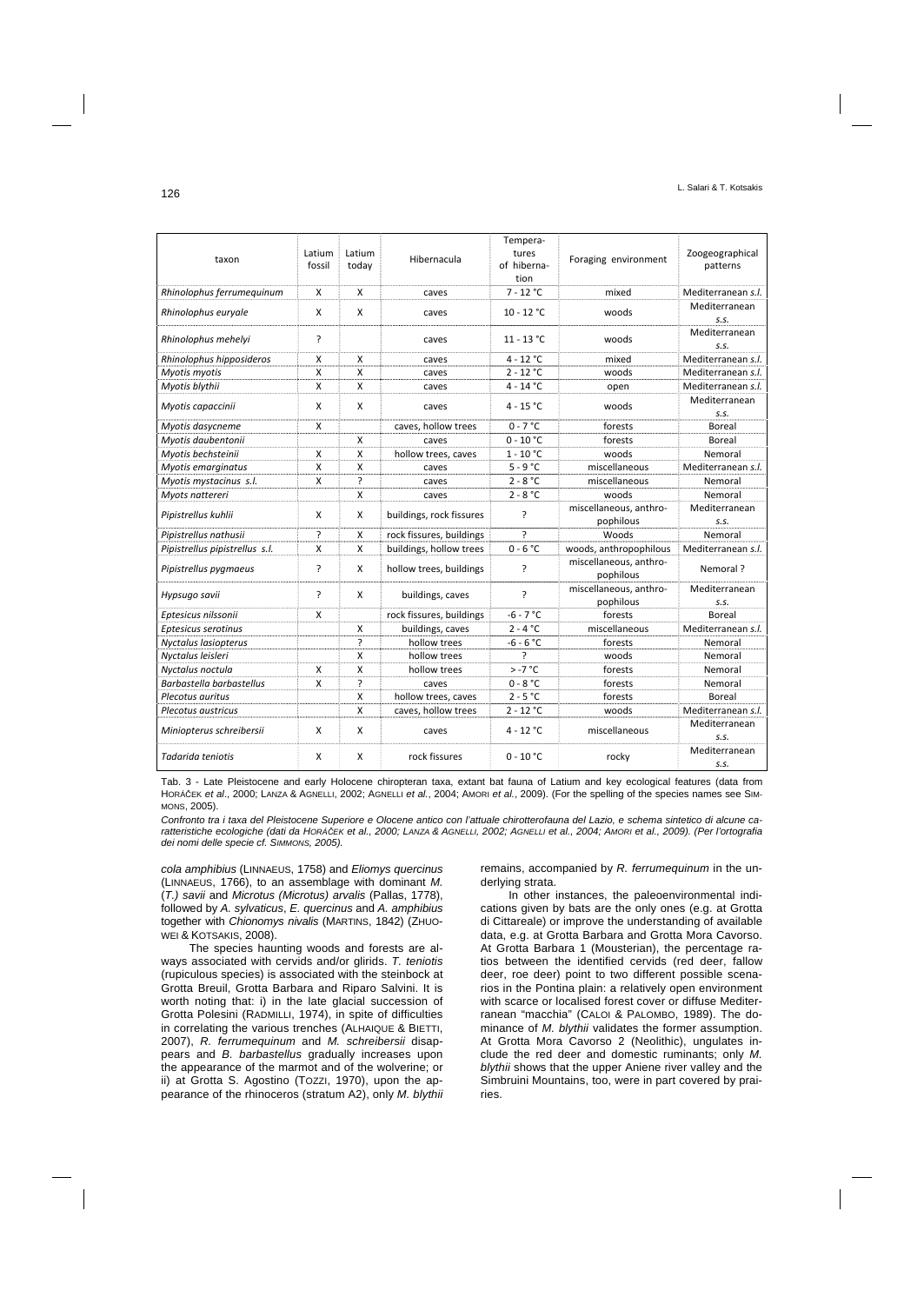| taxon                          | Latium<br>fossil | Latium<br>today | Hibernacula              | Tempera-<br>tures<br>Foraging environment<br>of hiberna-<br>tion |                                     | Zoogeographical<br>patterns |  |
|--------------------------------|------------------|-----------------|--------------------------|------------------------------------------------------------------|-------------------------------------|-----------------------------|--|
| Rhinolophus ferrumequinum      | X                | X               | caves                    | $7 - 12 °C$                                                      | mixed                               | Mediterranean s.l.          |  |
| Rhinolophus euryale            | X                | X               | caves                    | $10 - 12 °C$                                                     | woods                               | Mediterranean<br>S.S.       |  |
| Rhinolophus mehelyi            | <sup>2</sup>     |                 | caves                    | $11 - 13 °C$                                                     | woods                               | Mediterranean<br>S.S.       |  |
| Rhinolophus hipposideros       | X                | X               | caves                    | $4 - 12 °C$                                                      | mixed                               | Mediterranean s.l.          |  |
| Myotis myotis                  | X                | X               | caves                    | $2 - 12 °C$                                                      | woods                               | Mediterranean s.l.          |  |
| Myotis blythii                 | X                | X               | caves                    | $4 - 14 °C$                                                      | open                                | Mediterranean s.l.          |  |
| Myotis capaccinii              | x                | X               | caves                    | $4 - 15 °C$                                                      | woods                               | Mediterranean<br>S.S.       |  |
| Myotis dasycneme               | X                |                 | caves, hollow trees      | $0 - 7 °C$                                                       | forests                             | <b>Boreal</b>               |  |
| Myotis daubentonii             |                  | X               | caves                    | $0 - 10 °C$                                                      | forests                             | Boreal                      |  |
| Myotis bechsteinii             | X                | X               | hollow trees, caves      | $1 - 10 °C$                                                      | woods                               | Nemoral                     |  |
| Myotis emarginatus             | X                | X               | caves                    | $5 - 9 °C$                                                       | miscellaneous                       | Mediterranean s.l.          |  |
| Myotis mystacinus s.l.         | X                | $\overline{?}$  | caves                    | $2 - 8 °C$                                                       | miscellaneous                       | Nemoral                     |  |
| Myots nattereri                |                  | X               | caves                    | $2 - 8 °C$                                                       | woods                               | Nemoral                     |  |
| Pipistrellus kuhlii            | X                | X               | buildings, rock fissures | ?                                                                | miscellaneous, anthro-<br>pophilous | Mediterranean<br>S.S.       |  |
| Pipistrellus nathusii          | ?                | X               | rock fissures, buildings | <sup>2</sup>                                                     | Woods                               | Nemoral                     |  |
| Pipistrellus pipistrellus s.l. | X                | X               | buildings, hollow trees  | $0 - 6 °C$                                                       | woods, anthropophilous              | Mediterranean s.l.          |  |
| Pipistrellus pygmaeus          | <sup>2</sup>     | X               | hollow trees, buildings  | <sup>2</sup>                                                     | miscellaneous, anthro-<br>pophilous | Nemoral?                    |  |
| Hypsugo savii                  | <sup>2</sup>     | X               | buildings, caves         | ?                                                                | miscellaneous, anthro-<br>pophilous | Mediterranean<br>S.S.       |  |
| Eptesicus nilssonii            | X                |                 | rock fissures, buildings | $-6 - 7 °C$                                                      | forests                             | <b>Boreal</b>               |  |
| Eptesicus serotinus            |                  | х               | buildings, caves         | $2 - 4 °C$                                                       | miscellaneous                       | Mediterranean s.l.          |  |
| Nyctalus lasiopterus           |                  | <sup>2</sup>    | hollow trees             | $-6 - 6 °C$                                                      | forests                             | Nemoral                     |  |
| Nyctalus leisleri              |                  | X               | hollow trees             | ς                                                                | woods                               | Nemoral                     |  |
| Nyctalus noctula               | X                | X               | hollow trees             | $> -7$ °C                                                        | forests                             | Nemoral                     |  |
| Barbastella barbastellus       | x                | $\overline{?}$  | caves                    | $0 - 8 °C$                                                       | forests                             | Nemoral                     |  |
| Plecotus auritus               |                  | X               | hollow trees, caves      | $2 - 5 °C$                                                       | forests                             | <b>Boreal</b>               |  |
| Plecotus austricus             |                  | X               | caves, hollow trees      | $2 - 12 °C$                                                      | woods                               | Mediterranean s.l.          |  |
| Miniopterus schreibersii       | X                | x               | caves                    | $4 - 12 °C$                                                      | miscellaneous                       | Mediterranean<br>S.S.       |  |
| Tadarida teniotis              | X                | X               | rock fissures            | $0 - 10 °C$                                                      | rocky                               | Mediterranean<br>S.S.       |  |

Tab. 3 - Late Pleistocene and early Holocene chiropteran taxa, extant bat fauna of Latium and key ecological features (data from HORÁČEK *et al*., 2000; LANZA & AGNELLI, 2002; AGNELLI *et al.*, 2004; AMORI *et al.*, 2009). (For the spelling of the species names see SIM-MONS, 2005).

*Confronto tra i taxa del Pleistocene Superiore e Olocene antico con l'attuale chirotterofauna del Lazio, e schema sintetico di alcune caratteristiche ecologiche (dati da HORÁČEK et al., 2000; LANZA & AGNELLI, 2002; AGNELLI et al., 2004; AMORI et al., 2009). (Per l'ortografia dei nomi delle specie cf. SIMMONS, 2005).* 

*cola amphibius* (LINNAEUS, 1758) and *Eliomys quercinus* (LINNAEUS, 1766), to an assemblage with dominant *M.* (*T.) savii* and *Microtus (Microtus) arvalis* (Pallas, 1778), followed by *A. sylvaticus*, *E. quercinus* and *A. amphibius* together with *Chionomys nivalis* (MARTINS, 1842) (ZHUO-WEI & KOTSAKIS, 2008).

The species haunting woods and forests are always associated with cervids and/or glirids. *T. teniotis* (rupiculous species) is associated with the steinbock at Grotta Breuil, Grotta Barbara and Riparo Salvini. It is worth noting that: i) in the late glacial succession of Grotta Polesini (RADMILLI, 1974), in spite of difficulties in correlating the various trenches (ALHAIQUE & BIETTI, 2007), *R. ferrumequinum* and *M. schreibersii* disappears and *B. barbastellus* gradually increases upon the appearance of the marmot and of the wolverine; or ii) at Grotta S. Agostino (TOZZI, 1970), upon the appearance of the rhinoceros (stratum A2), only *M. blythii*

remains, accompanied by *R. ferrumequinum* in the underlying strata.

In other instances, the paleoenvironmental indications given by bats are the only ones (e.g. at Grotta di Cittareale) or improve the understanding of available data, e.g. at Grotta Barbara and Grotta Mora Cavorso. At Grotta Barbara 1 (Mousterian), the percentage ratios between the identified cervids (red deer, fallow deer, roe deer) point to two different possible scenarios in the Pontina plain: a relatively open environment with scarce or localised forest cover or diffuse Mediterranean "macchia" (CALOI & PALOMBO, 1989). The dominance of *M. blythii* validates the former assumption. At Grotta Mora Cavorso 2 (Neolithic), ungulates include the red deer and domestic ruminants; only *M. blythii* shows that the upper Aniene river valley and the Simbruini Mountains, too, were in part covered by prairies.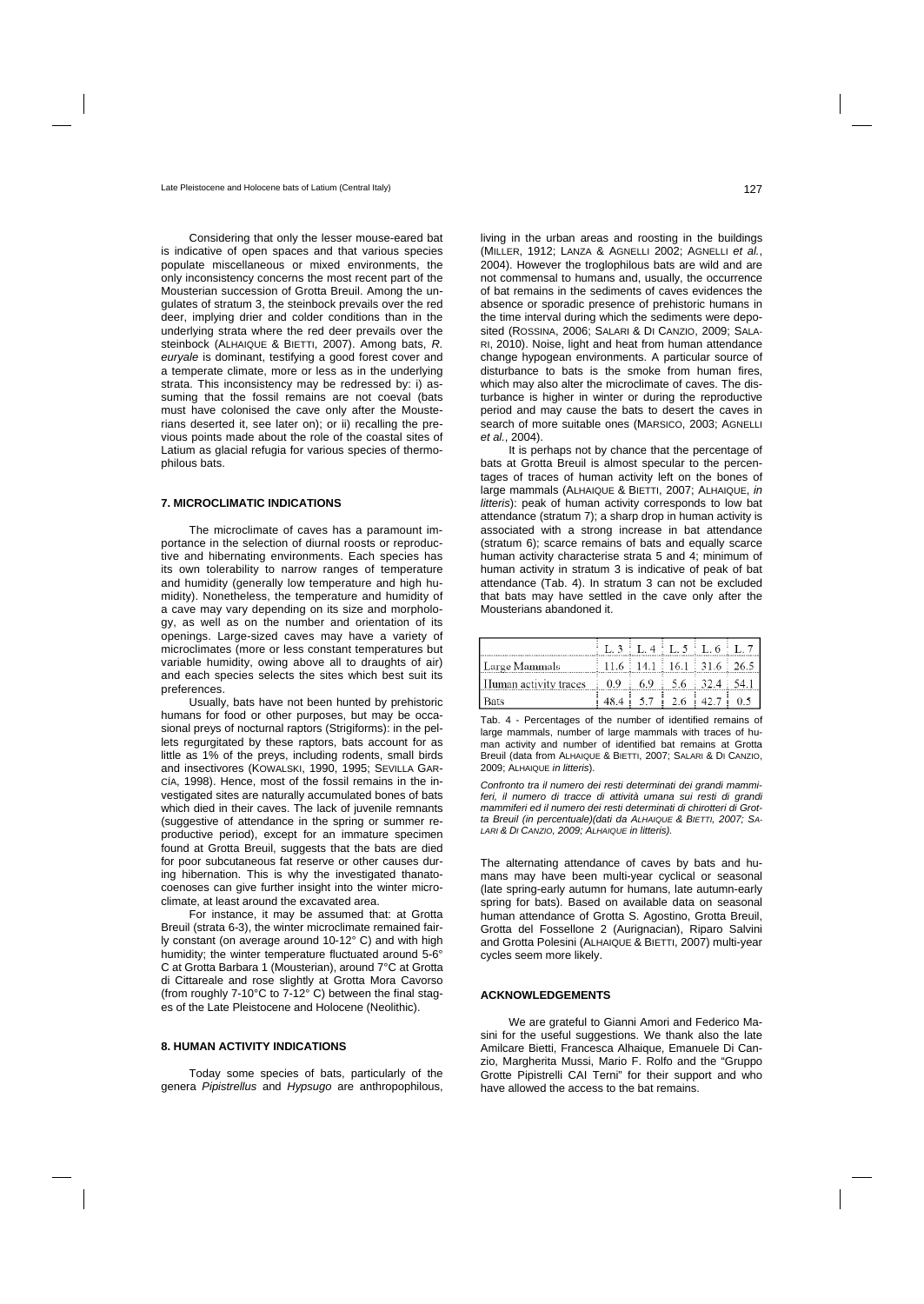Considering that only the lesser mouse-eared bat is indicative of open spaces and that various species populate miscellaneous or mixed environments, the only inconsistency concerns the most recent part of the Mousterian succession of Grotta Breuil. Among the ungulates of stratum 3, the steinbock prevails over the red deer, implying drier and colder conditions than in the underlying strata where the red deer prevails over the steinbock (ALHAIQUE & BIETTI, 2007). Among bats, *R. euryale* is dominant, testifying a good forest cover and a temperate climate, more or less as in the underlying strata. This inconsistency may be redressed by: i) assuming that the fossil remains are not coeval (bats must have colonised the cave only after the Mousterians deserted it, see later on); or ii) recalling the previous points made about the role of the coastal sites of Latium as glacial refugia for various species of thermophilous bats.

# **7. MICROCLIMATIC INDICATIONS**

The microclimate of caves has a paramount importance in the selection of diurnal roosts or reproductive and hibernating environments. Each species has its own tolerability to narrow ranges of temperature and humidity (generally low temperature and high humidity). Nonetheless, the temperature and humidity of a cave may vary depending on its size and morphology, as well as on the number and orientation of its openings. Large-sized caves may have a variety of microclimates (more or less constant temperatures but variable humidity, owing above all to draughts of air) and each species selects the sites which best suit its preferences.

Usually, bats have not been hunted by prehistoric humans for food or other purposes, but may be occasional preys of nocturnal raptors (Strigiforms): in the pellets regurgitated by these raptors, bats account for as little as 1% of the preys, including rodents, small birds and insectivores (KOWALSKI, 1990, 1995; SEVILLA GAR-CÍA, 1998). Hence, most of the fossil remains in the investigated sites are naturally accumulated bones of bats which died in their caves. The lack of juvenile remnants (suggestive of attendance in the spring or summer reproductive period), except for an immature specimen found at Grotta Breuil, suggests that the bats are died for poor subcutaneous fat reserve or other causes during hibernation. This is why the investigated thanatocoenoses can give further insight into the winter microclimate, at least around the excavated area.

For instance, it may be assumed that: at Grotta Breuil (strata 6-3), the winter microclimate remained fairly constant (on average around 10-12° C) and with high humidity; the winter temperature fluctuated around 5-6° C at Grotta Barbara 1 (Mousterian), around 7°C at Grotta di Cittareale and rose slightly at Grotta Mora Cavorso (from roughly 7-10°C to 7-12° C) between the final stages of the Late Pleistocene and Holocene (Neolithic).

# **8. HUMAN ACTIVITY INDICATIONS**

Today some species of bats, particularly of the genera *Pipistrellus* and *Hypsugo* are anthropophilous,

living in the urban areas and roosting in the buildings (MILLER, 1912; LANZA & AGNELLI 2002; AGNELLI *et al.*, 2004). However the troglophilous bats are wild and are not commensal to humans and, usually, the occurrence of bat remains in the sediments of caves evidences the absence or sporadic presence of prehistoric humans in the time interval during which the sediments were deposited (ROSSINA, 2006; SALARI & DI CANZIO, 2009; SALA-RI, 2010). Noise, light and heat from human attendance change hypogean environments. A particular source of disturbance to bats is the smoke from human fires, which may also alter the microclimate of caves. The disturbance is higher in winter or during the reproductive period and may cause the bats to desert the caves in search of more suitable ones (MARSICO, 2003; AGNELLI *et al.*, 2004).

It is perhaps not by chance that the percentage of bats at Grotta Breuil is almost specular to the percentages of traces of human activity left on the bones of large mammals (ALHAIQUE & BIETTI, 2007; ALHAIQUE, *in litteris*): peak of human activity corresponds to low bat attendance (stratum 7); a sharp drop in human activity is associated with a strong increase in bat attendance (stratum 6); scarce remains of bats and equally scarce human activity characterise strata 5 and 4; minimum of human activity in stratum 3 is indicative of peak of bat attendance (Tab. 4). In stratum 3 can not be excluded that bats may have settled in the cave only after the Mousterians abandoned it.

|                                                              | $L$ 3 $L$ 4 $L$ 5 $L$ 6 $L$ 7                                 |  |  |
|--------------------------------------------------------------|---------------------------------------------------------------|--|--|
| Large Mammals                                                | $\frac{11.6 \div 14.1 \div 16.1 \div 31.6 \div 26.5}$         |  |  |
| <b>III</b> uman activity traces <b>0.9</b> 6.9 5.6 32.4 54.1 |                                                               |  |  |
| <b>Bats</b>                                                  | $\begin{bmatrix} 48.4 & 5.7 & 2.6 & 42.7 & 0.5 \end{bmatrix}$ |  |  |

Tab. 4 - Percentages of the number of identified remains of large mammals, number of large mammals with traces of human activity and number of identified bat remains at Grotta Breuil (data from ALHAIQUE & BIETTI, 2007; SALARI & DI CANZIO, 2009; ALHAIQUE *in litteris*).

*Confronto tra il numero dei resti determinati dei grandi mammiferi, il numero di tracce di attività umana sui resti di grandi mammiferi ed il numero dei resti determinati di chirotteri di Grotta Breuil (in percentuale)(dati da ALHAIQUE & BIETTI, 2007; SA-LARI & DI CANZIO, 2009; ALHAIQUE in litteris).* 

The alternating attendance of caves by bats and humans may have been multi-year cyclical or seasonal (late spring-early autumn for humans, late autumn-early spring for bats). Based on available data on seasonal human attendance of Grotta S. Agostino, Grotta Breuil, Grotta del Fossellone 2 (Aurignacian), Riparo Salvini and Grotta Polesini (ALHAIQUE & BIETTI, 2007) multi-year cycles seem more likely.

## **ACKNOWLEDGEMENTS**

We are grateful to Gianni Amori and Federico Masini for the useful suggestions. We thank also the late Amilcare Bietti, Francesca Alhaique, Emanuele Di Canzio, Margherita Mussi, Mario F. Rolfo and the "Gruppo Grotte Pipistrelli CAI Terni" for their support and who have allowed the access to the bat remains.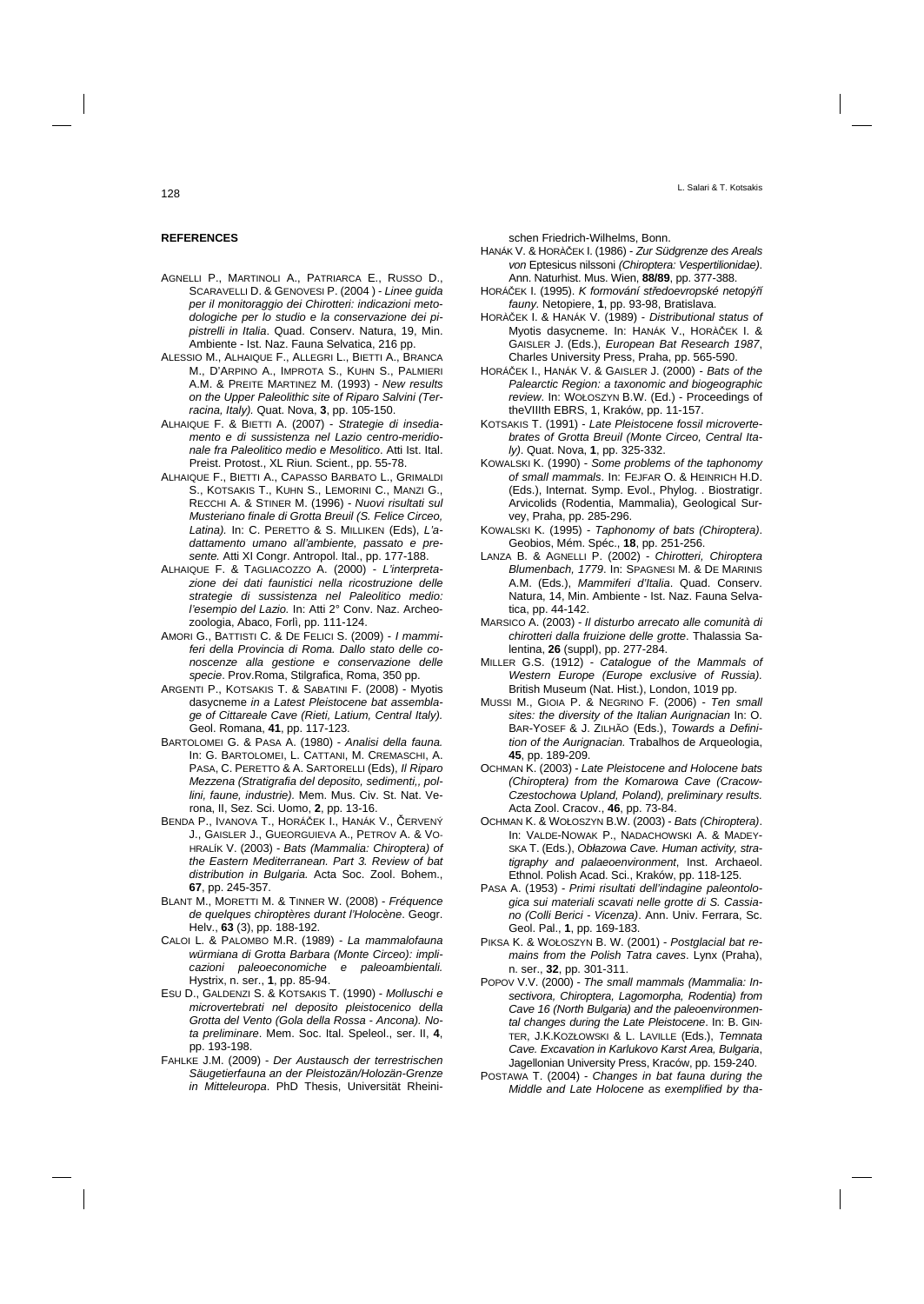# **REFERENCES**

- AGNELLI P., MARTINOLI A., PATRIARCA E., RUSSO D., SCARAVELLI D. & GENOVESI P. (2004 ) - *Linee guida per il monitoraggio dei Chirotteri: indicazioni metodologiche per lo studio e la conservazione dei pipistrelli in Italia*. Quad. Conserv. Natura, 19, Min. Ambiente - Ist. Naz. Fauna Selvatica, 216 pp.
- ALESSIO M., ALHAIQUE F., ALLEGRI L., BIETTI A., BRANCA M., D'ARPINO A., IMPROTA S., KUHN S., PALMIERI A.M. & PREITE MARTINEZ M. (1993) - *New results on the Upper Paleolithic site of Riparo Salvini (Terracina, Italy).* Quat. Nova, **3**, pp. 105-150.
- ALHAIQUE F. & BIETTI A. (2007) - *Strategie di insediamento e di sussistenza nel Lazio centro-meridionale fra Paleolitico medio e Mesolitico*. Atti Ist. Ital. Preist. Protost., XL Riun. Scient., pp. 55-78.
- ALHAIQUE F., BIETTI A., CAPASSO BARBATO L., GRIMALDI S., KOTSAKIS T., KUHN S., LEMORINI C., MANZI G., RECCHI A. & STINER M. (1996) - *Nuovi risultati sul Musteriano finale di Grotta Breuil (S. Felice Circeo, Latina).* In: C. PERETTO & S. MILLIKEN (Eds), *L'adattamento umano all'ambiente, passato e presente.* Atti XI Congr. Antropol. Ital., pp. 177-188.
- ALHAIQUE F. & TAGLIACOZZO A. (2000) *L'interpretazione dei dati faunistici nella ricostruzione delle strategie di sussistenza nel Paleolitico medio: l'esempio del Lazio.* In: Atti 2° Conv. Naz. Archeozoologia, Abaco, Forlì, pp. 111-124.
- AMORI G., BATTISTI C. & DE FELICI S. (2009) *I mammiferi della Provincia di Roma. Dallo stato delle conoscenze alla gestione e conservazione delle specie*. Prov.Roma, Stilgrafica, Roma, 350 pp.
- ARGENTI P., KOTSAKIS T. & SABATINI F. (2008) Myotis dasycneme *in a Latest Pleistocene bat assemblage of Cittareale Cave (Rieti, Latium, Central Italy).*  Geol. Romana, **41**, pp. 117-123.
- BARTOLOMEI G. & PASA A. (1980) *Analisi della fauna.*  In: G. BARTOLOMEI, L. CATTANI, M. CREMASCHI, A. PASA, C. PERETTO & A. SARTORELLI (Eds), *Il Riparo Mezzena (Stratigrafia del deposito, sedimenti,, pollini, faune, industrie).* Mem. Mus. Civ. St. Nat. Verona, II, Sez. Sci. Uomo, **2**, pp. 13-16.
- BENDA P., IVANOVA T., HORÁČEK I., HANÁK V., ČERVENÝ J., GAISLER J., GUEORGUIEVA A., PETROV A. & VO-HRALÍK V. (2003) - *Bats (Mammalia: Chiroptera) of the Eastern Mediterranean. Part 3. Review of bat distribution in Bulgaria.* Acta Soc. Zool. Bohem., **67**, pp. 245-357.
- BLANT M., MORETTI M. & TINNER W. (2008) *Fréquence de quelques chiroptères durant l'Holocène*. Geogr. Helv., **63** (3), pp. 188-192.
- CALOI L. & PALOMBO M.R. (1989) *La mammalofauna würmiana di Grotta Barbara (Monte Circeo): implicazioni paleoeconomiche e paleoambientali.*  Hystrix, n. ser., **1**, pp. 85-94.
- ESU D., GALDENZI S. & KOTSAKIS T. (1990) *Molluschi e microvertebrati nel deposito pleistocenico della Grotta del Vento (Gola della Rossa - Ancona). Nota preliminare*. Mem. Soc. Ital. Speleol., ser. II, **4**, pp. 193-198.
- FAHLKE J.M. (2009) *Der Austausch der terrestrischen Säugetierfauna an der Pleistozän/Holozän-Grenze in Mitteleuropa*. PhD Thesis, Universität Rheini-

schen Friedrich-Wilhelms, Bonn.

- HANÁK V. & HORÀČEK I. (1986) - *Zur Südgrenze des Areals von* Eptesicus nilssoni *(Chiroptera: Vespertilionidae)*. Ann. Naturhist. Mus. Wien, **88/89**, pp. 377-388.
- HORÁČEK I. (1995). *K formování středoevropské netopýří fauny.* Netopiere, **1**, pp. 93-98, Bratislava.
- HORÀČEK I. & HANÁK V. (1989) - *Distributional status of*  Myotis dasycneme. In: HANÁK V., HORÀČEK I. & GAISLER J. (Eds.), *European Bat Research 1987*, Charles University Press, Praha, pp. 565-590.
- HORÁČEK I., HANÁK V. & GAISLER J. (2000) *Bats of the Palearctic Region: a taxonomic and biogeographic review*. In: WOŁOSZYN B.W. (Ed.) - Proceedings of theVIIIth EBRS, 1, Kraków, pp. 11-157.
- KOTSAKIS T. (1991) *Late Pleistocene fossil microvertebrates of Grotta Breuil (Monte Circeo, Central Italy)*. Quat. Nova, **1**, pp. 325-332.
- KOWALSKI K. (1990) *Some problems of the taphonomy of small mammals*. In: FEJFAR O. & HEINRICH H.D. (Eds.), Internat. Symp. Evol., Phylog. . Biostratigr. Arvicolids (Rodentia, Mammalia), Geological Survey, Praha, pp. 285-296.
- KOWALSKI K. (1995) *Taphonomy of bats (Chiroptera)*. Geobios, Mém. Spéc., **18**, pp. 251-256.
- LANZA B. & AGNELLI P. (2002) *Chirotteri, Chiroptera Blumenbach, 1779*. In: SPAGNESI M. & DE MARINIS A.M. (Eds.), *Mammiferi d'Italia*. Quad. Conserv. Natura, 14, Min. Ambiente - Ist. Naz. Fauna Selvatica, pp. 44-142.
- MARSICO A. (2003) *Il disturbo arrecato alle comunità di chirotteri dalla fruizione delle grotte*. Thalassia Salentina, **26** (suppl), pp. 277-284.
- MILLER G.S. (1912) *Catalogue of the Mammals of Western Europe (Europe exclusive of Russia).*  British Museum (Nat. Hist.), London, 1019 pp.
- MUSSI M., GIOIA P. & NEGRINO F. (2006) *Ten small sites: the diversity of the Italian Aurignacian* In: O. BAR-YOSEF & J. ZILHÃO (Eds.), *Towards a Definition of the Aurignacian.* Trabalhos de Arqueologia, **45**, pp. 189-209.
- OCHMAN K. (2003) *Late Pleistocene and Holocene bats (Chiroptera) from the Komarowa Cave (Cracow-Czestochowa Upland, Poland), preliminary results.* Acta Zool. Cracov., **46**, pp. 73-84.
- OCHMAN K. & WOŁOSZYN B.W. (2003) *Bats (Chiroptera)*. In: VALDE-NOWAK P., NADACHOWSKI A. & MADEY-SKA T. (Eds.), *Obłazowa Cave. Human activity, stratigraphy and palaeoenvironment*, Inst. Archaeol. Ethnol. Polish Acad. Sci., Kraków, pp. 118-125.
- PASA A. (1953) *Primi risultati dell'indagine paleontologica sui materiali scavati nelle grotte di S. Cassiano (Colli Berici - Vicenza)*. Ann. Univ. Ferrara, Sc. Geol. Pal., **1**, pp. 169-183.
- PIKSA K. & WOŁOSZYN B. W. (2001) *Postglacial bat remains from the Polish Tatra caves*. Lynx (Praha), n. ser., **32**, pp. 301-311.
- POPOV V.V. (2000) *The small mammals (Mammalia: Insectivora, Chiroptera, Lagomorpha, Rodentia) from Cave 16 (North Bulgaria) and the paleoenvironmental changes during the Late Pleistocene*. In: B. GIN-TER, J.K.KOZŁOWSKI & L. LAVILLE (Eds.), *Temnata Cave. Excavation in Karlukovo Karst Area, Bulgaria*, Jagellonian University Press, Kraców, pp. 159-240.
- POSTAWA T. (2004) *Changes in bat fauna during the Middle and Late Holocene as exemplified by tha-*